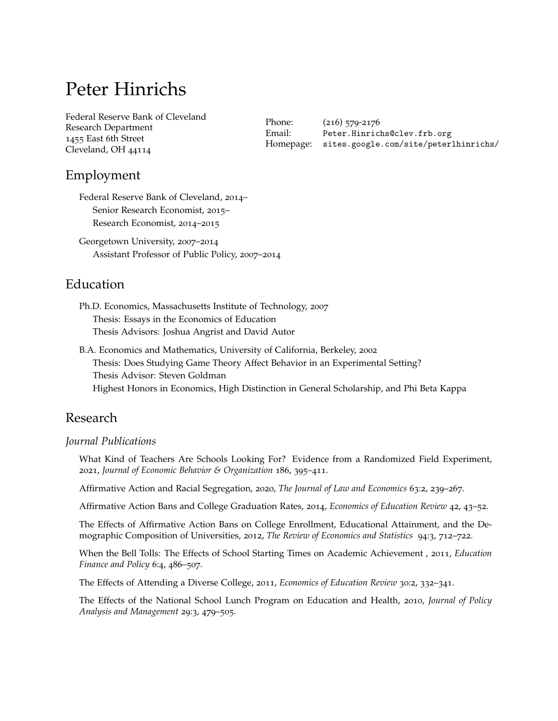# Peter Hinrichs

Federal Reserve Bank of Cleveland Research Department 1455 East 6th Street Cleveland, OH 44114

Phone: (216) 579-2176 Email: [Peter.Hinrichs@clev.frb.org](mailto:Peter.Hinrichs@clev.frb.org) Homepage: [sites.google.com/site/peterlhinrichs/](https://sites.google.com/site/peterlhinrichs/)

# Employment

Federal Reserve Bank of Cleveland, 2014– Senior Research Economist, 2015– Research Economist, 2014–2015

Georgetown University, 2007–2014 Assistant Professor of Public Policy, 2007–2014

# Education

Ph.D. Economics, Massachusetts Institute of Technology, 2007 Thesis: Essays in the Economics of Education Thesis Advisors: Joshua Angrist and David Autor

B.A. Economics and Mathematics, University of California, Berkeley, 2002 Thesis: Does Studying Game Theory Affect Behavior in an Experimental Setting? Thesis Advisor: Steven Goldman Highest Honors in Economics, High Distinction in General Scholarship, and Phi Beta Kappa

# Research

### *Journal Publications*

What Kind of Teachers Are Schools Looking For? Evidence from a Randomized Field Experiment, 2021, *Journal of Economic Behavior & Organization* 186, 395–411.

Affirmative Action and Racial Segregation, 2020, *The Journal of Law and Economics* 63:2, 239–267.

Affirmative Action Bans and College Graduation Rates, 2014, *Economics of Education Review* 42, 43–52.

The Effects of Affirmative Action Bans on College Enrollment, Educational Attainment, and the Demographic Composition of Universities, 2012, *The Review of Economics and Statistics* 94:3, 712–722.

When the Bell Tolls: The Effects of School Starting Times on Academic Achievement , 2011, *Education Finance and Policy* 6:4, 486–507.

The Effects of Attending a Diverse College, 2011, *Economics of Education Review* 30:2, 332–341.

The Effects of the National School Lunch Program on Education and Health, 2010, *Journal of Policy Analysis and Management* 29:3, 479–505.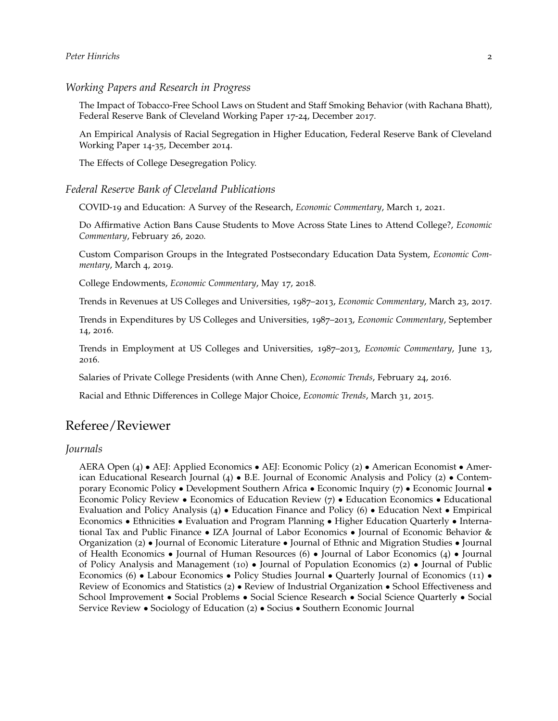*Working Papers and Research in Progress*

The Impact of Tobacco-Free School Laws on Student and Staff Smoking Behavior (with Rachana Bhatt), Federal Reserve Bank of Cleveland Working Paper 17-24, December 2017.

An Empirical Analysis of Racial Segregation in Higher Education, Federal Reserve Bank of Cleveland Working Paper 14-35, December 2014.

The Effects of College Desegregation Policy.

#### *Federal Reserve Bank of Cleveland Publications*

COVID-19 and Education: A Survey of the Research, *Economic Commentary*, March 1, 2021.

Do Affirmative Action Bans Cause Students to Move Across State Lines to Attend College?, *Economic Commentary*, February 26, 2020.

Custom Comparison Groups in the Integrated Postsecondary Education Data System, *Economic Commentary*, March 4, 2019.

College Endowments, *Economic Commentary*, May 17, 2018.

Trends in Revenues at US Colleges and Universities, 1987–2013, *Economic Commentary*, March 23, 2017.

Trends in Expenditures by US Colleges and Universities, 1987–2013, *Economic Commentary*, September 14, 2016.

Trends in Employment at US Colleges and Universities, 1987–2013, *Economic Commentary*, June 13, 2016.

Salaries of Private College Presidents (with Anne Chen), *Economic Trends*, February 24, 2016.

Racial and Ethnic Differences in College Major Choice, *Economic Trends*, March 31, 2015.

## Referee/Reviewer

#### *Journals*

AERA Open (4) • AEJ: Applied Economics • AEJ: Economic Policy (2) • American Economist • American Educational Research Journal  $(4) \bullet$  B.E. Journal of Economic Analysis and Policy  $(2) \bullet$  Contemporary Economic Policy • Development Southern Africa • Economic Inquiry (7) • Economic Journal • Economic Policy Review • Economics of Education Review (7) • Education Economics • Educational Evaluation and Policy Analysis (4) • Education Finance and Policy (6) • Education Next • Empirical Economics • Ethnicities • Evaluation and Program Planning • Higher Education Quarterly • International Tax and Public Finance • IZA Journal of Labor Economics • Journal of Economic Behavior & Organization (2) • Journal of Economic Literature • Journal of Ethnic and Migration Studies • Journal of Health Economics • Journal of Human Resources (6) • Journal of Labor Economics (4) • Journal of Policy Analysis and Management (10) • Journal of Population Economics (2) • Journal of Public Economics (6) • Labour Economics • Policy Studies Journal • Quarterly Journal of Economics (11) • Review of Economics and Statistics (2) • Review of Industrial Organization • School Effectiveness and School Improvement • Social Problems • Social Science Research • Social Science Quarterly • Social Service Review • Sociology of Education (2) • Socius • Southern Economic Journal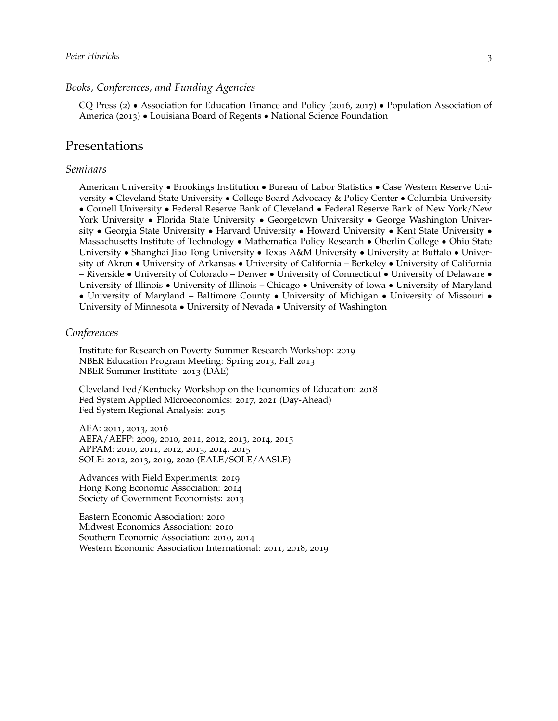## *Peter Hinrichs* 3

#### *Books, Conferences, and Funding Agencies*

CQ Press (2) • Association for Education Finance and Policy (2016, 2017) • Population Association of America (2013) • Louisiana Board of Regents • National Science Foundation

## Presentations

#### *Seminars*

American University • Brookings Institution • Bureau of Labor Statistics • Case Western Reserve University • Cleveland State University • College Board Advocacy & Policy Center • Columbia University • Cornell University • Federal Reserve Bank of Cleveland • Federal Reserve Bank of New York/New York University • Florida State University • Georgetown University • George Washington University • Georgia State University • Harvard University • Howard University • Kent State University • Massachusetts Institute of Technology • Mathematica Policy Research • Oberlin College • Ohio State University • Shanghai Jiao Tong University • Texas A&M University • University at Buffalo • University of Akron • University of Arkansas • University of California – Berkeley • University of California – Riverside • University of Colorado – Denver • University of Connecticut • University of Delaware • University of Illinois • University of Illinois – Chicago • University of Iowa • University of Maryland • University of Maryland – Baltimore County • University of Michigan • University of Missouri • University of Minnesota • University of Nevada • University of Washington

#### *Conferences*

Institute for Research on Poverty Summer Research Workshop: 2019 NBER Education Program Meeting: Spring 2013, Fall 2013 NBER Summer Institute: 2013 (DAE)

Cleveland Fed/Kentucky Workshop on the Economics of Education: 2018 Fed System Applied Microeconomics: 2017, 2021 (Day-Ahead) Fed System Regional Analysis: 2015

AEA: 2011, 2013, 2016 AEFA/AEFP: 2009, 2010, 2011, 2012, 2013, 2014, 2015 APPAM: 2010, 2011, 2012, 2013, 2014, 2015 SOLE: 2012, 2013, 2019, 2020 (EALE/SOLE/AASLE)

Advances with Field Experiments: 2019 Hong Kong Economic Association: 2014 Society of Government Economists: 2013

Eastern Economic Association: 2010 Midwest Economics Association: 2010 Southern Economic Association: 2010, 2014 Western Economic Association International: 2011, 2018, 2019